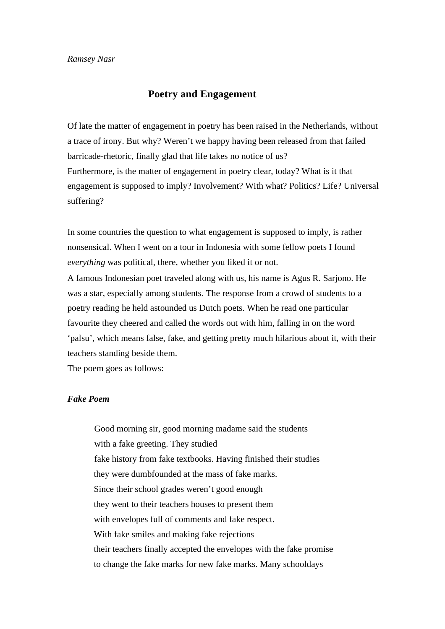## **Poetry and Engagement**

Of late the matter of engagement in poetry has been raised in the Netherlands, without a trace of irony. But why? Weren't we happy having been released from that failed barricade-rhetoric, finally glad that life takes no notice of us? Furthermore, is the matter of engagement in poetry clear, today? What is it that engagement is supposed to imply? Involvement? With what? Politics? Life? Universal suffering?

In some countries the question to what engagement is supposed to imply, is rather nonsensical. When I went on a tour in Indonesia with some fellow poets I found *everything* was political, there, whether you liked it or not.

A famous Indonesian poet traveled along with us, his name is Agus R. Sarjono. He was a star, especially among students. The response from a crowd of students to a poetry reading he held astounded us Dutch poets. When he read one particular favourite they cheered and called the words out with him, falling in on the word 'palsu', which means false, fake, and getting pretty much hilarious about it, with their teachers standing beside them.

The poem goes as follows:

## *Fake Poem*

Good morning sir, good morning madame said the students with a fake greeting. They studied fake history from fake textbooks. Having finished their studies they were dumbfounded at the mass of fake marks. Since their school grades weren't good enough they went to their teachers houses to present them with envelopes full of comments and fake respect. With fake smiles and making fake rejections their teachers finally accepted the envelopes with the fake promise to change the fake marks for new fake marks. Many schooldays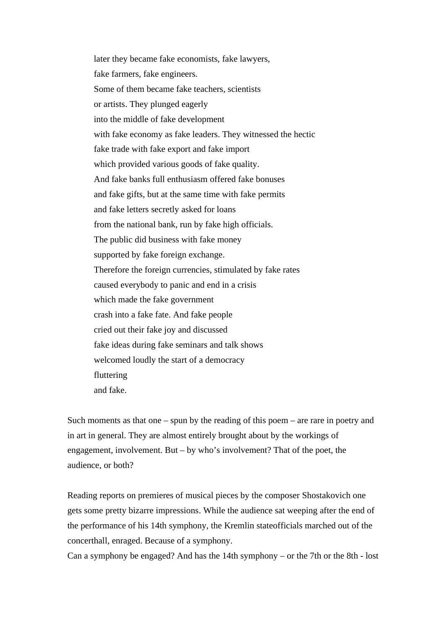later they became fake economists, fake lawyers, fake farmers, fake engineers. Some of them became fake teachers, scientists or artists. They plunged eagerly into the middle of fake development with fake economy as fake leaders. They witnessed the hectic fake trade with fake export and fake import which provided various goods of fake quality. And fake banks full enthusiasm offered fake bonuses and fake gifts, but at the same time with fake permits and fake letters secretly asked for loans from the national bank, run by fake high officials. The public did business with fake money supported by fake foreign exchange. Therefore the foreign currencies, stimulated by fake rates caused everybody to panic and end in a crisis which made the fake government crash into a fake fate. And fake people cried out their fake joy and discussed fake ideas during fake seminars and talk shows welcomed loudly the start of a democracy fluttering and fake.

Such moments as that one – spun by the reading of this poem – are rare in poetry and in art in general. They are almost entirely brought about by the workings of engagement, involvement. But – by who's involvement? That of the poet, the audience, or both?

Reading reports on premieres of musical pieces by the composer Shostakovich one gets some pretty bizarre impressions. While the audience sat weeping after the end of the performance of his 14th symphony, the Kremlin stateofficials marched out of the concerthall, enraged. Because of a symphony.

Can a symphony be engaged? And has the 14th symphony – or the 7th or the 8th - lost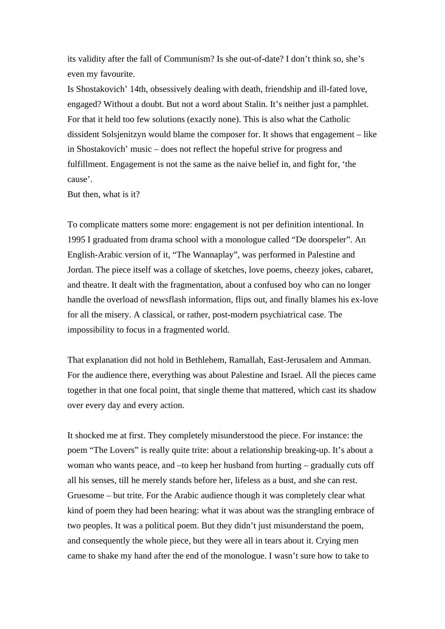its validity after the fall of Communism? Is she out-of-date? I don't think so, she's even my favourite.

Is Shostakovich' 14th, obsessively dealing with death, friendship and ill-fated love, engaged? Without a doubt. But not a word about Stalin. It's neither just a pamphlet. For that it held too few solutions (exactly none). This is also what the Catholic dissident Solsjenitzyn would blame the composer for. It shows that engagement – like in Shostakovich' music – does not reflect the hopeful strive for progress and fulfillment. Engagement is not the same as the naive belief in, and fight for, 'the cause'.

But then, what is it?

To complicate matters some more: engagement is not per definition intentional. In 1995 I graduated from drama school with a monologue called "De doorspeler". An English-Arabic version of it, "The Wannaplay", was performed in Palestine and Jordan. The piece itself was a collage of sketches, love poems, cheezy jokes, cabaret, and theatre. It dealt with the fragmentation, about a confused boy who can no longer handle the overload of newsflash information, flips out, and finally blames his ex-love for all the misery. A classical, or rather, post-modern psychiatrical case. The impossibility to focus in a fragmented world.

That explanation did not hold in Bethlehem, Ramallah, East-Jerusalem and Amman. For the audience there, everything was about Palestine and Israel. All the pieces came together in that one focal point, that single theme that mattered, which cast its shadow over every day and every action.

It shocked me at first. They completely misunderstood the piece. For instance: the poem "The Lovers" is really quite trite: about a relationship breaking-up. It's about a woman who wants peace, and –to keep her husband from hurting – gradually cuts off all his senses, till he merely stands before her, lifeless as a bust, and she can rest. Gruesome – but trite. For the Arabic audience though it was completely clear what kind of poem they had been hearing: what it was about was the strangling embrace of two peoples. It was a political poem. But they didn't just misunderstand the poem, and consequently the whole piece, but they were all in tears about it. Crying men came to shake my hand after the end of the monologue. I wasn't sure how to take to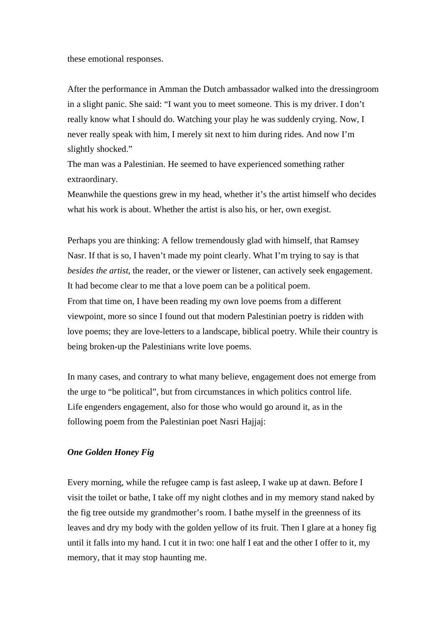these emotional responses.

After the performance in Amman the Dutch ambassador walked into the dressingroom in a slight panic. She said: "I want you to meet someone. This is my driver. I don't really know what I should do. Watching your play he was suddenly crying. Now, I never really speak with him, I merely sit next to him during rides. And now I'm slightly shocked."

The man was a Palestinian. He seemed to have experienced something rather extraordinary.

Meanwhile the questions grew in my head, whether it's the artist himself who decides what his work is about. Whether the artist is also his, or her, own exegist.

Perhaps you are thinking: A fellow tremendously glad with himself, that Ramsey Nasr. If that is so, I haven't made my point clearly. What I'm trying to say is that *besides the artist*, the reader, or the viewer or listener, can actively seek engagement. It had become clear to me that a love poem can be a political poem. From that time on, I have been reading my own love poems from a different viewpoint, more so since I found out that modern Palestinian poetry is ridden with love poems; they are love-letters to a landscape, biblical poetry. While their country is being broken-up the Palestinians write love poems.

In many cases, and contrary to what many believe, engagement does not emerge from the urge to "be political", but from circumstances in which politics control life. Life engenders engagement, also for those who would go around it, as in the following poem from the Palestinian poet Nasri Hajjaj:

## *One Golden Honey Fig*

Every morning, while the refugee camp is fast asleep, I wake up at dawn. Before I visit the toilet or bathe, I take off my night clothes and in my memory stand naked by the fig tree outside my grandmother's room. I bathe myself in the greenness of its leaves and dry my body with the golden yellow of its fruit. Then I glare at a honey fig until it falls into my hand. I cut it in two: one half I eat and the other I offer to it, my memory, that it may stop haunting me.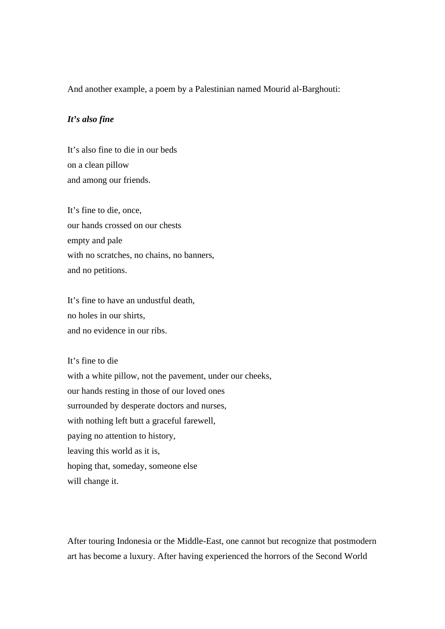And another example, a poem by a Palestinian named Mourid al-Barghouti:

## *It's also fine*

It's also fine to die in our beds on a clean pillow and among our friends.

It's fine to die, once, our hands crossed on our chests empty and pale with no scratches, no chains, no banners, and no petitions.

It's fine to have an undustful death, no holes in our shirts, and no evidence in our ribs.

It's fine to die with a white pillow, not the pavement, under our cheeks, our hands resting in those of our loved ones surrounded by desperate doctors and nurses, with nothing left butt a graceful farewell, paying no attention to history, leaving this world as it is, hoping that, someday, someone else will change it.

After touring Indonesia or the Middle-East, one cannot but recognize that postmodern art has become a luxury. After having experienced the horrors of the Second World